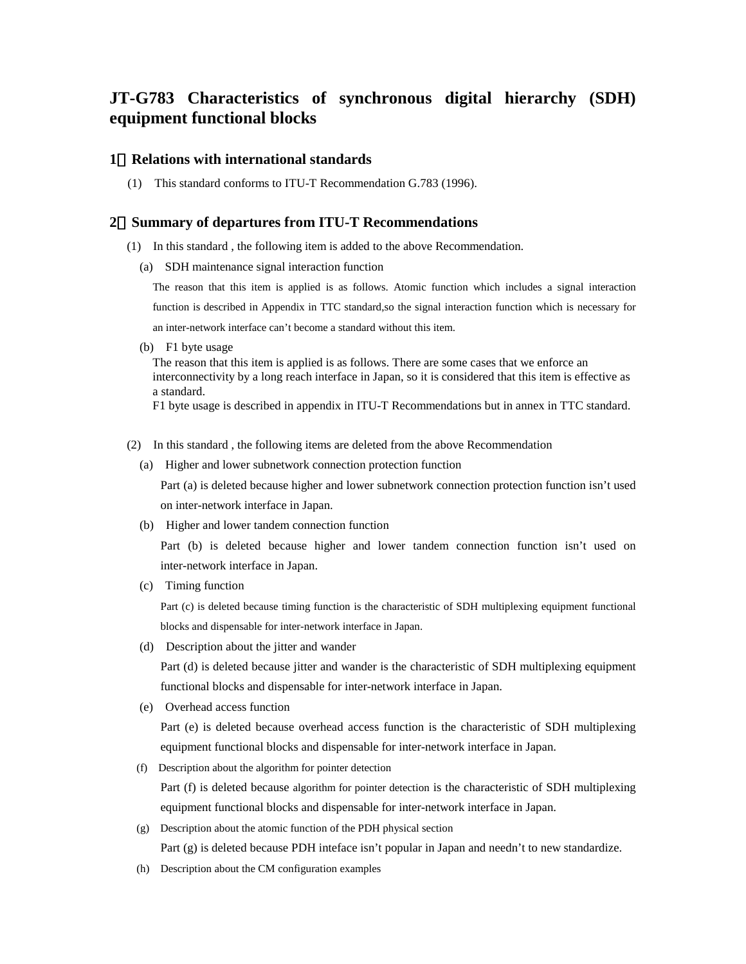## **JT-G783 Characteristics of synchronous digital hierarchy (SDH) equipment functional blocks**

## **1 Relations with international standards**

(1) This standard conforms to ITU-T Recommendation G.783 (1996).

## **2 Summary of departures from ITU-T Recommendations**

- (1) In this standard , the following item is added to the above Recommendation.
	- (a) SDH maintenance signal interaction function

The reason that this item is applied is as follows. Atomic function which includes a signal interaction function is described in Appendix in TTC standard,so the signal interaction function which is necessary for an inter-network interface can't become a standard without this item.

(b) F1 byte usage

The reason that this item is applied is as follows. There are some cases that we enforce an interconnectivity by a long reach interface in Japan, so it is considered that this item is effective as a standard.

F1 byte usage is described in appendix in ITU-T Recommendations but in annex in TTC standard.

- (2) In this standard , the following items are deleted from the above Recommendation
	- (a) Higher and lower subnetwork connection protection function

Part (a) is deleted because higher and lower subnetwork connection protection function isn't used on inter-network interface in Japan.

(b) Higher and lower tandem connection function

Part (b) is deleted because higher and lower tandem connection function isn't used on inter-network interface in Japan.

(c) Timing function

Part (c) is deleted because timing function is the characteristic of SDH multiplexing equipment functional blocks and dispensable for inter-network interface in Japan.

(d) Description about the jitter and wander

Part (d) is deleted because jitter and wander is the characteristic of SDH multiplexing equipment functional blocks and dispensable for inter-network interface in Japan.

(e) Overhead access function

Part (e) is deleted because overhead access function is the characteristic of SDH multiplexing equipment functional blocks and dispensable for inter-network interface in Japan.

(f) Description about the algorithm for pointer detection

Part (f) is deleted because algorithm for pointer detection is the characteristic of SDH multiplexing equipment functional blocks and dispensable for inter-network interface in Japan.

(g) Description about the atomic function of the PDH physical section

Part (g) is deleted because PDH inteface isn't popular in Japan and needn't to new standardize.

(h) Description about the CM configuration examples